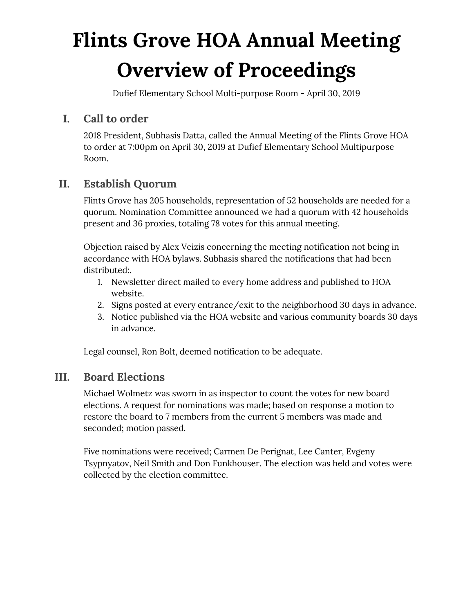# **Flints Grove HOA Annual Meeting Overview of Proceedings**

Dufief Elementary School Multi-purpose Room - April 30, 2019

# **I. Call to order**

2018 President, Subhasis Datta, called the Annual Meeting of the Flints Grove HOA to order at 7:00pm on April 30, 2019 at Dufief Elementary School Multipurpose Room.

# **II. Establish Quorum**

Flints Grove has 205 households, representation of 52 households are needed for a quorum. Nomination Committee announced we had a quorum with 42 households present and 36 proxies, totaling 78 votes for this annual meeting.

Objection raised by Alex Veizis concerning the meeting notification not being in accordance with HOA bylaws. Subhasis shared the notifications that had been distributed:.

- 1. Newsletter direct mailed to every home address and published to HOA website.
- 2. Signs posted at every entrance/exit to the neighborhood 30 days in advance.
- 3. Notice published via the HOA website and various community boards 30 days in advance.

Legal counsel, Ron Bolt, deemed notification to be adequate.

# **III. Board Elections**

Michael Wolmetz was sworn in as inspector to count the votes for new board elections. A request for nominations was made; based on response a motion to restore the board to 7 members from the current 5 members was made and seconded; motion passed.

Five nominations were received; Carmen De Perignat, Lee Canter, Evgeny Tsypnyatov, Neil Smith and Don Funkhouser. The election was held and votes were collected by the election committee.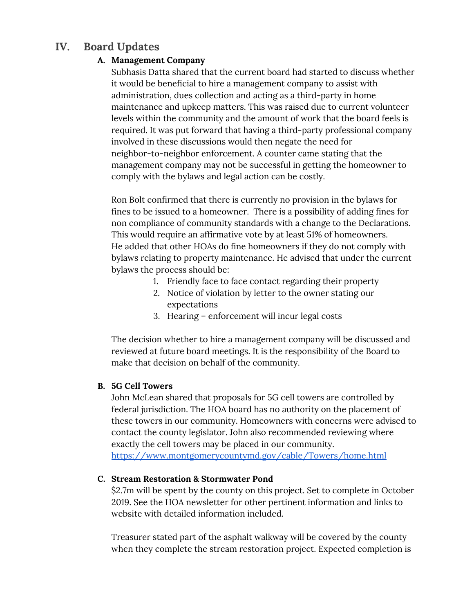# **IV. Board Updates**

#### **A. Management Company**

Subhasis Datta shared that the current board had started to discuss whether it would be beneficial to hire a management company to assist with administration, dues collection and acting as a third-party in home maintenance and upkeep matters. This was raised due to current volunteer levels within the community and the amount of work that the board feels is required. It was put forward that having a third-party professional company involved in these discussions would then negate the need for neighbor-to-neighbor enforcement. A counter came stating that the management company may not be successful in getting the homeowner to comply with the bylaws and legal action can be costly.

Ron Bolt confirmed that there is currently no provision in the bylaws for fines to be issued to a homeowner. There is a possibility of adding fines for non compliance of community standards with a change to the Declarations. This would require an affirmative vote by at least 51% of homeowners. He added that other HOAs do fine homeowners if they do not comply with bylaws relating to property maintenance. He advised that under the current bylaws the process should be:

- 1. Friendly face to face contact regarding their property
- 2. Notice of violation by letter to the owner stating our expectations
- 3. Hearing enforcement will incur legal costs

The decision whether to hire a management company will be discussed and reviewed at future board meetings. It is the responsibility of the Board to make that decision on behalf of the community.

#### **B. 5G Cell Towers**

John McLean shared that proposals for 5G cell towers are controlled by federal jurisdiction. The HOA board has no authority on the placement of these towers in our community. Homeowners with concerns were advised to contact the county legislator. John also recommended reviewing where exactly the cell towers may be placed in our community.

<https://www.montgomerycountymd.gov/cable/Towers/home.html>

#### **C. Stream Restoration & Stormwater Pond**

\$2.7m will be spent by the county on this project. Set to complete in October 2019. See the HOA newsletter for other pertinent information and links to website with detailed information included.

Treasurer stated part of the asphalt walkway will be covered by the county when they complete the stream restoration project. Expected completion is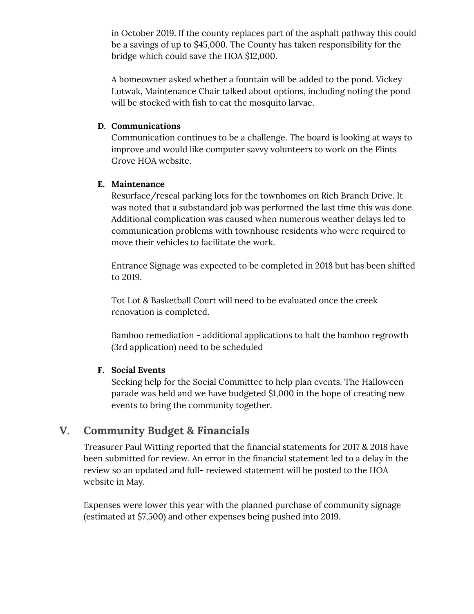in October 2019. If the county replaces part of the asphalt pathway this could be a savings of up to \$45,000. The County has taken responsibility for the bridge which could save the HOA \$12,000.

A homeowner asked whether a fountain will be added to the pond. Vickey Lutwak, Maintenance Chair talked about options, including noting the pond will be stocked with fish to eat the mosquito larvae.

#### **D. Communications**

Communication continues to be a challenge. The board is looking at ways to improve and would like computer savvy volunteers to work on the Flints Grove HOA website.

#### **E. Maintenance**

Resurface/reseal parking lots for the townhomes on Rich Branch Drive. It was noted that a substandard job was performed the last time this was done. Additional complication was caused when numerous weather delays led to communication problems with townhouse residents who were required to move their vehicles to facilitate the work.

Entrance Signage was expected to be completed in 2018 but has been shifted to 2019.

Tot Lot & Basketball Court will need to be evaluated once the creek renovation is completed.

Bamboo remediation - additional applications to halt the bamboo regrowth (3rd application) need to be scheduled

#### **F. Social Events**

Seeking help for the Social Committee to help plan events. The Halloween parade was held and we have budgeted \$1,000 in the hope of creating new events to bring the community together.

## **V. Community Budget & Financials**

Treasurer Paul Witting reported that the financial statements for 2017 & 2018 have been submitted for review. An error in the financial statement led to a delay in the review so an updated and full- reviewed statement will be posted to the HOA website in May.

Expenses were lower this year with the planned purchase of community signage (estimated at \$7,500) and other expenses being pushed into 2019.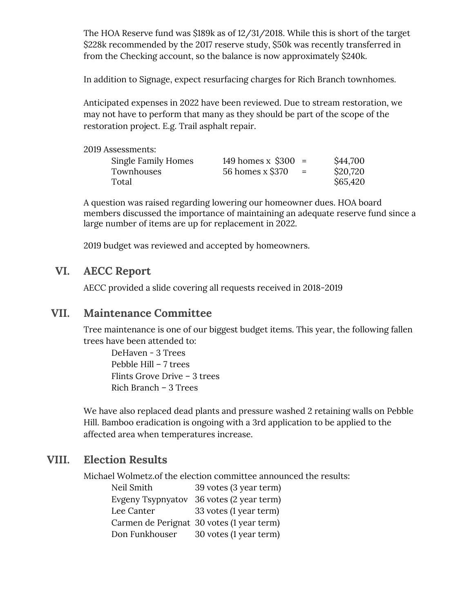The HOA Reserve fund was \$189k as of 12/31/2018. While this is short of the target \$228k recommended by the 2017 reserve study, \$50k was recently transferred in from the Checking account, so the balance is now approximately \$240k.

In addition to Signage, expect resurfacing charges for Rich Branch townhomes.

Anticipated expenses in 2022 have been reviewed. Due to stream restoration, we may not have to perform that many as they should be part of the scope of the restoration project. E.g. Trail asphalt repair.

2019 Assessments:

| Single Family Homes | 149 homes x $$300 =$ |     | \$44,700 |
|---------------------|----------------------|-----|----------|
| Townhouses          | 56 homes x \$370     | $=$ | \$20,720 |
| Total               |                      |     | \$65,420 |

A question was raised regarding lowering our homeowner dues. HOA board members discussed the importance of maintaining an adequate reserve fund since a large number of items are up for replacement in 2022.

2019 budget was reviewed and accepted by homeowners.

## **VI. AECC Report**

AECC provided a slide covering all requests received in 2018-2019

## **VII. Maintenance Committee**

Tree maintenance is one of our biggest budget items. This year, the following fallen trees have been attended to:

DeHaven - 3 Trees Pebble Hill – 7 trees Flints Grove Drive – 3 trees Rich Branch – 3 Trees

We have also replaced dead plants and pressure washed 2 retaining walls on Pebble Hill. Bamboo eradication is ongoing with a 3rd application to be applied to the affected area when temperatures increase.

## **VIII. Election Results**

Michael Wolmetz.of the election committee announced the results:

| Neil Smith               | 39 votes (3 year term)                    |
|--------------------------|-------------------------------------------|
| <b>Evgeny Tsypnyatov</b> | 36 votes (2 year term)                    |
| Lee Canter               | 33 votes (1 year term)                    |
|                          | Carmen de Perignat 30 votes (1 year term) |
| Don Funkhouser           | 30 votes (1 year term)                    |